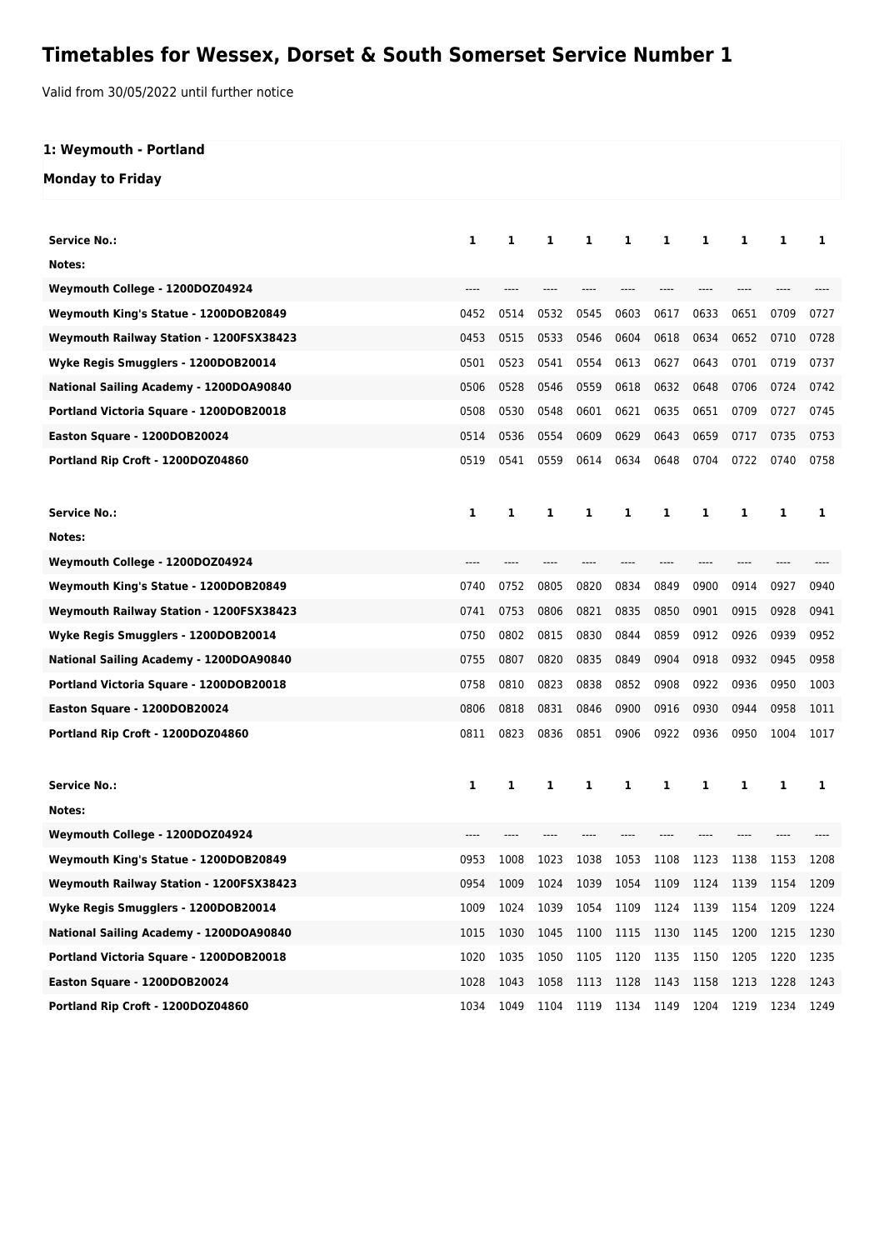## **Timetables for Wessex, Dorset & South Somerset Service Number 1**

Valid from 30/05/2022 until further notice

## **1: Weymouth - Portland**

## **Monday to Friday**

| <b>Service No.:</b>                     | 1    | 1    | 1    | 1    | 1         | 1    | 1    | 1    | 1    | 1    |
|-----------------------------------------|------|------|------|------|-----------|------|------|------|------|------|
| Notes:                                  |      |      |      |      |           |      |      |      |      |      |
| Weymouth College - 1200DOZ04924         | ---- |      |      |      |           |      |      |      |      |      |
| Weymouth King's Statue - 1200DOB20849   | 0452 | 0514 | 0532 | 0545 | 0603      | 0617 | 0633 | 0651 | 0709 | 0727 |
| Weymouth Railway Station - 1200FSX38423 | 0453 | 0515 | 0533 | 0546 | 0604      | 0618 | 0634 | 0652 | 0710 | 0728 |
| Wyke Regis Smugglers - 1200DOB20014     | 0501 | 0523 | 0541 | 0554 | 0613      | 0627 | 0643 | 0701 | 0719 | 0737 |
| National Sailing Academy - 1200DOA90840 | 0506 | 0528 | 0546 | 0559 | 0618      | 0632 | 0648 | 0706 | 0724 | 0742 |
| Portland Victoria Square - 1200DOB20018 | 0508 | 0530 | 0548 | 0601 | 0621      | 0635 | 0651 | 0709 | 0727 | 0745 |
| Easton Square - 1200DOB20024            | 0514 | 0536 | 0554 | 0609 | 0629      | 0643 | 0659 | 0717 | 0735 | 0753 |
| Portland Rip Croft - 1200DOZ04860       | 0519 | 0541 | 0559 | 0614 | 0634      | 0648 | 0704 | 0722 | 0740 | 0758 |
|                                         |      |      |      |      |           |      |      |      |      |      |
| <b>Service No.:</b>                     | 1    | 1    | 1    | 1    | 1         | 1    | 1    | 1    | 1    | 1    |
| Notes:                                  |      |      |      |      |           |      |      |      |      |      |
| Weymouth College - 1200DOZ04924         | ---- |      | ---- |      |           |      |      |      |      |      |
| Weymouth King's Statue - 1200DOB20849   | 0740 | 0752 | 0805 | 0820 | 0834      | 0849 | 0900 | 0914 | 0927 | 0940 |
| Weymouth Railway Station - 1200FSX38423 | 0741 | 0753 | 0806 | 0821 | 0835      | 0850 | 0901 | 0915 | 0928 | 0941 |
| Wyke Regis Smugglers - 1200DOB20014     | 0750 | 0802 | 0815 | 0830 | 0844      | 0859 | 0912 | 0926 | 0939 | 0952 |
| National Sailing Academy - 1200DOA90840 | 0755 | 0807 | 0820 | 0835 | 0849      | 0904 | 0918 | 0932 | 0945 | 0958 |
| Portland Victoria Square - 1200DOB20018 | 0758 | 0810 | 0823 | 0838 | 0852      | 0908 | 0922 | 0936 | 0950 | 1003 |
| Easton Square - 1200DOB20024            | 0806 | 0818 | 0831 | 0846 | 0900      | 0916 | 0930 | 0944 | 0958 | 1011 |
| Portland Rip Croft - 1200DOZ04860       | 0811 | 0823 | 0836 | 0851 | 0906      | 0922 | 0936 | 0950 | 1004 | 1017 |
|                                         |      |      |      |      |           |      |      |      |      |      |
| <b>Service No.:</b>                     | 1    | 1    | 1    | 1    | 1         | 1    | 1    | 1    | 1    | 1    |
| Notes:                                  |      |      |      |      |           |      |      |      |      |      |
| Weymouth College - 1200DOZ04924         |      |      |      |      |           |      |      |      |      |      |
| Weymouth King's Statue - 1200DOB20849   | 0953 | 1008 | 1023 | 1038 | 1053      | 1108 | 1123 | 1138 | 1153 | 1208 |
| Weymouth Railway Station - 1200FSX38423 | 0954 | 1009 | 1024 | 1039 | 1054      | 1109 | 1124 | 1139 | 1154 | 1209 |
| Wyke Regis Smugglers - 1200DOB20014     | 1009 | 1024 | 1039 | 1054 | 1109      | 1124 | 1139 | 1154 | 1209 | 1224 |
| National Sailing Academy - 1200DOA90840 | 1015 | 1030 | 1045 | 1100 | 1115      | 1130 | 1145 | 1200 | 1215 | 1230 |
| Portland Victoria Square - 1200DOB20018 | 1020 | 1035 | 1050 | 1105 | 1120      | 1135 | 1150 | 1205 | 1220 | 1235 |
| Easton Square - 1200DOB20024            | 1028 | 1043 | 1058 | 1113 | 1128      | 1143 | 1158 | 1213 | 1228 | 1243 |
| Portland Rip Croft - 1200DOZ04860       | 1034 | 1049 | 1104 | 1119 | 1134 1149 |      | 1204 | 1219 | 1234 | 1249 |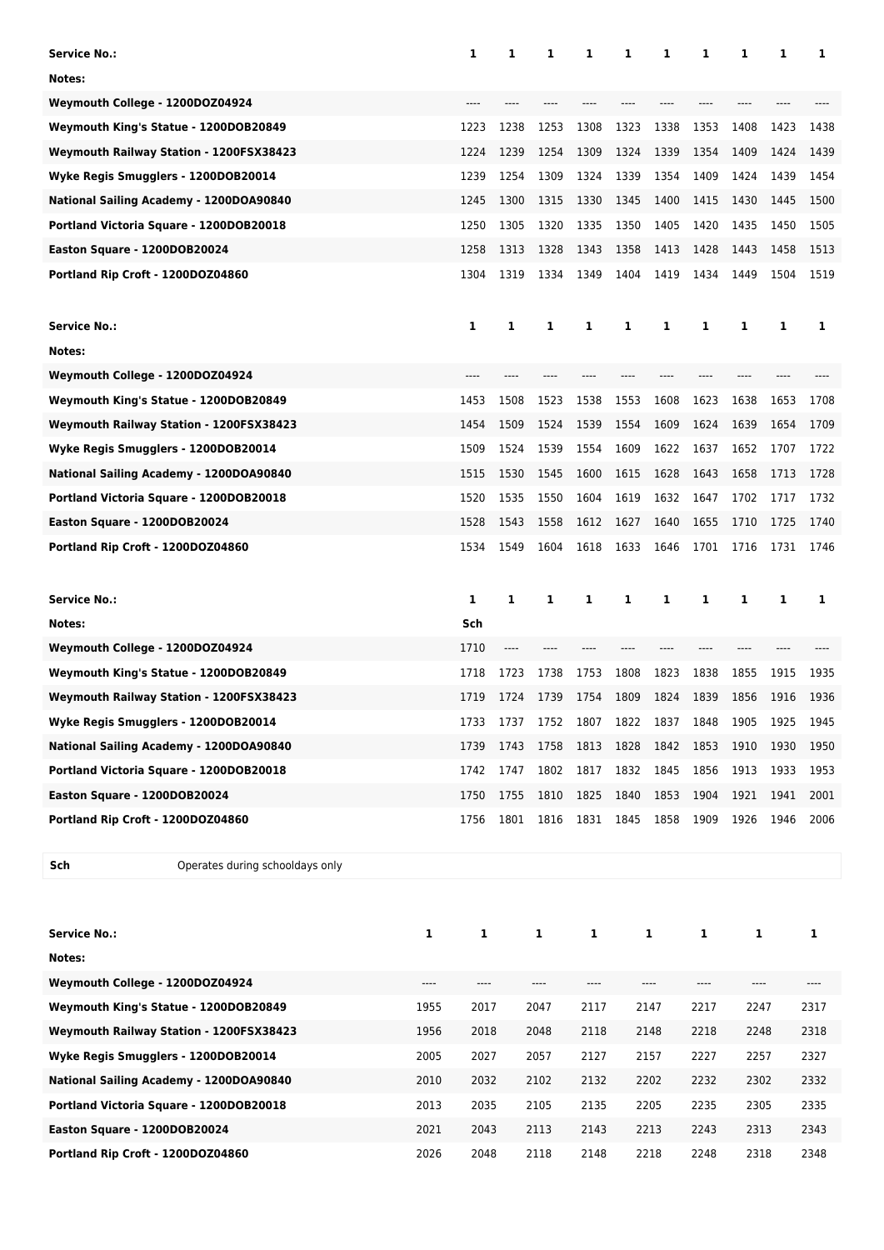| <b>Service No.:</b>                     |      | 1            | 1    | 1    | 1    | 1    | 1    | 1            | 1                                     | 1    | 1    |
|-----------------------------------------|------|--------------|------|------|------|------|------|--------------|---------------------------------------|------|------|
| Notes:                                  |      |              |      |      |      |      |      |              |                                       |      |      |
| Weymouth College - 1200DOZ04924         |      |              |      |      |      |      |      |              |                                       |      |      |
| Weymouth King's Statue - 1200DOB20849   |      | 1223         | 1238 | 1253 | 1308 | 1323 | 1338 | 1353         | 1408                                  | 1423 | 1438 |
| Weymouth Railway Station - 1200FSX38423 |      | 1224         | 1239 | 1254 | 1309 | 1324 | 1339 | 1354         | 1409                                  | 1424 | 1439 |
| Wyke Regis Smugglers - 1200DOB20014     |      | 1239         | 1254 | 1309 | 1324 | 1339 | 1354 | 1409         | 1424                                  | 1439 | 1454 |
| National Sailing Academy - 1200DOA90840 |      | 1245         | 1300 | 1315 | 1330 | 1345 | 1400 | 1415         | 1430                                  | 1445 | 1500 |
| Portland Victoria Square - 1200DOB20018 |      | 1250         | 1305 | 1320 | 1335 | 1350 | 1405 | 1420         | 1435                                  | 1450 | 1505 |
| Easton Square - 1200DOB20024            |      | 1258         | 1313 | 1328 | 1343 | 1358 | 1413 | 1428         | 1443                                  | 1458 | 1513 |
| Portland Rip Croft - 1200DOZ04860       |      | 1304         | 1319 | 1334 | 1349 | 1404 | 1419 | 1434         | 1449                                  | 1504 | 1519 |
| <b>Service No.:</b>                     |      | 1            | 1    | 1    | 1    | 1    | 1    | 1            | 1                                     | 1    | 1    |
| Notes:                                  |      |              |      |      |      |      |      |              |                                       |      |      |
| Weymouth College - 1200DOZ04924         |      |              |      |      |      |      |      |              |                                       |      |      |
| Weymouth King's Statue - 1200DOB20849   |      | 1453         | 1508 | 1523 | 1538 | 1553 | 1608 | 1623         | 1638                                  | 1653 | 1708 |
| Weymouth Railway Station - 1200FSX38423 |      | 1454         | 1509 | 1524 | 1539 | 1554 | 1609 | 1624         | 1639                                  | 1654 | 1709 |
| Wyke Regis Smugglers - 1200DOB20014     |      | 1509         | 1524 | 1539 | 1554 | 1609 | 1622 | 1637         | 1652                                  | 1707 | 1722 |
| National Sailing Academy - 1200DOA90840 |      | 1515         | 1530 | 1545 | 1600 | 1615 | 1628 | 1643         | 1658                                  | 1713 | 1728 |
| Portland Victoria Square - 1200DOB20018 |      | 1520         | 1535 | 1550 | 1604 | 1619 | 1632 | 1647         | 1702                                  | 1717 | 1732 |
| Easton Square - 1200DOB20024            |      | 1528         | 1543 | 1558 | 1612 | 1627 | 1640 | 1655         | 1710                                  | 1725 | 1740 |
| Portland Rip Croft - 1200DOZ04860       |      | 1534         | 1549 | 1604 | 1618 | 1633 | 1646 | 1701         | 1716                                  | 1731 | 1746 |
| <b>Service No.:</b>                     |      | 1            | 1    | 1    | 1    | 1    | 1    | 1            | 1                                     | 1    | 1    |
| Notes:                                  |      | Sch          |      |      |      |      |      |              |                                       |      |      |
| Weymouth College - 1200DOZ04924         |      | 1710         |      |      |      |      |      |              |                                       |      |      |
| Weymouth King's Statue - 1200DOB20849   |      | 1718         | 1723 | 1738 | 1753 | 1808 | 1823 | 1838         | 1855                                  | 1915 | 1935 |
| Weymouth Railway Station - 1200FSX38423 |      | 1719         | 1724 | 1739 | 1754 | 1809 | 1824 | 1839         | 1856                                  | 1916 | 1936 |
| Wyke Regis Smugglers - 1200DOB20014     |      | 1733         | 1737 | 1752 | 1807 | 1822 | 1837 | 1848         | 1905                                  | 1925 | 1945 |
| National Sailing Academy - 1200DOA90840 |      | 1739         | 1743 | 1758 | 1813 | 1828 | 1842 | 1853         | 1910                                  | 1930 | 1950 |
| Portland Victoria Square - 1200DOB20018 |      | 1742         | 1747 | 1802 | 1817 | 1832 | 1845 | 1856         | 1913                                  | 1933 | 1953 |
| Easton Square - 1200DOB20024            |      | 1750         | 1755 | 1810 | 1825 | 1840 | 1853 | 1904         | 1921                                  | 1941 | 2001 |
| Portland Rip Croft - 1200DOZ04860       |      | 1756         | 1801 | 1816 | 1831 | 1845 | 1858 | 1909         | 1926                                  | 1946 | 2006 |
| Sch<br>Operates during schooldays only  |      |              |      |      |      |      |      |              |                                       |      |      |
| <b>Service No.:</b>                     | 1    | $\mathbf{1}$ |      | 1    | 1    |      | 1    | $\mathbf{1}$ | 1                                     |      | 1    |
| Notes:                                  |      |              |      |      |      |      |      |              |                                       |      |      |
| Weymouth College - 1200DOZ04924         | ---- |              |      | ---- | ---- |      | ---- |              |                                       |      | ---- |
| Weymouth King's Statue - 1200DOB20849   | 1955 | ----<br>2017 |      | 2047 | 2117 |      | 2147 | ----<br>2217 | $\hspace{1.5cm} \textbf{---}$<br>2247 |      | 2317 |
| Weymouth Railway Station - 1200FSX38423 | 1956 | 2018         |      | 2048 | 2118 |      | 2148 | 2218         | 2248                                  |      | 2318 |
| Wyke Regis Smugglers - 1200DOB20014     | 2005 | 2027         |      | 2057 | 2127 |      | 2157 | 2227         | 2257                                  |      | 2327 |
| National Sailing Academy - 1200DOA90840 | 2010 | 2032         |      | 2102 | 2132 |      | 2202 | 2232         | 2302                                  |      | 2332 |
|                                         |      |              |      |      |      |      |      |              |                                       |      |      |
| Portland Victoria Square - 1200DOB20018 | 2013 | 2035         |      | 2105 | 2135 |      | 2205 | 2235         | 2305                                  |      | 2335 |
| Easton Square - 1200DOB20024            | 2021 | 2043         |      | 2113 | 2143 |      | 2213 | 2243         | 2313                                  |      | 2343 |
| Portland Rip Croft - 1200DOZ04860       | 2026 | 2048         |      | 2118 | 2148 |      | 2218 | 2248         | 2318                                  |      | 2348 |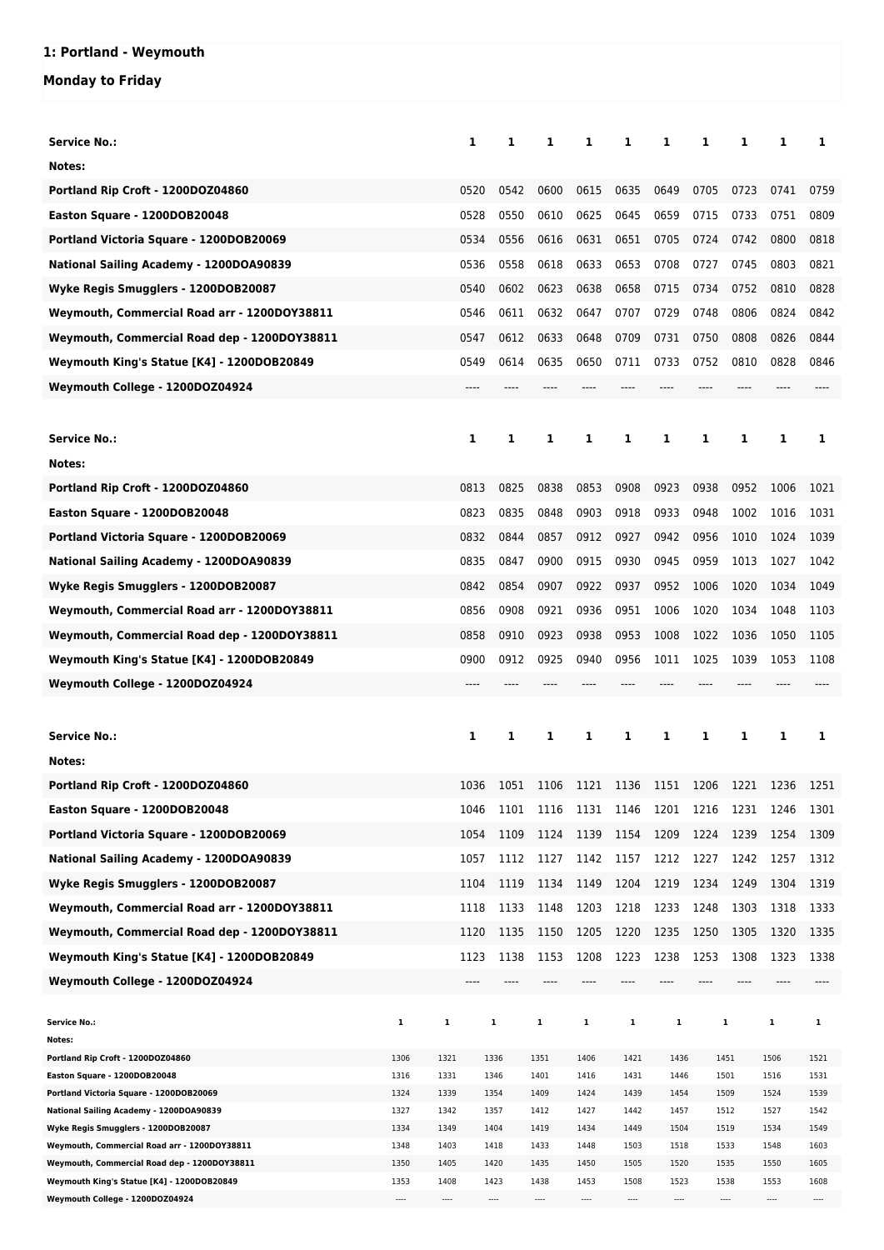## **1: Portland - Weymouth**

**Monday to Friday**

| <b>Service No.:</b>                                                                 |              | 1            | 1            | 1                | 1                             | 1            | 1            | 1    | 1            | 1            | 1            |
|-------------------------------------------------------------------------------------|--------------|--------------|--------------|------------------|-------------------------------|--------------|--------------|------|--------------|--------------|--------------|
| Notes:                                                                              |              |              |              |                  |                               |              |              |      |              |              |              |
| Portland Rip Croft - 1200DOZ04860                                                   |              | 0520         | 0542         | 0600             | 0615                          | 0635         | 0649         | 0705 | 0723         | 0741         | 0759         |
| Easton Square - 1200DOB20048                                                        |              | 0528         | 0550         | 0610             | 0625                          | 0645         | 0659         | 0715 | 0733         | 0751         | 0809         |
| Portland Victoria Square - 1200DOB20069                                             |              | 0534         | 0556         | 0616             | 0631                          | 0651         | 0705         | 0724 | 0742         | 0800         | 0818         |
| National Sailing Academy - 1200DOA90839                                             |              | 0536         | 0558         | 0618             | 0633                          | 0653         | 0708         | 0727 | 0745         | 0803         | 0821         |
| Wyke Regis Smugglers - 1200DOB20087                                                 |              | 0540         | 0602         | 0623             | 0638                          | 0658         | 0715         | 0734 | 0752         | 0810         | 0828         |
|                                                                                     |              |              |              |                  |                               |              |              |      |              |              |              |
| Weymouth, Commercial Road arr - 1200DOY38811                                        |              | 0546         | 0611         | 0632             | 0647                          | 0707         | 0729         | 0748 | 0806         | 0824         | 0842         |
| Weymouth, Commercial Road dep - 1200DOY38811                                        |              | 0547         | 0612         | 0633             | 0648                          | 0709         | 0731         | 0750 | 0808         | 0826         | 0844         |
| Weymouth King's Statue [K4] - 1200DOB20849                                          |              | 0549         | 0614         | 0635             | 0650                          | 0711         | 0733         | 0752 | 0810         | 0828         | 0846         |
| Weymouth College - 1200DOZ04924                                                     |              |              |              |                  |                               |              |              |      |              |              |              |
|                                                                                     |              |              |              |                  |                               |              |              |      |              |              |              |
| <b>Service No.:</b>                                                                 |              | 1            | 1            | 1                | 1                             | 1            | 1            | 1    | 1            | 1            | 1            |
| Notes:                                                                              |              |              |              |                  |                               |              |              |      |              |              |              |
| Portland Rip Croft - 1200DOZ04860                                                   |              | 0813         | 0825         | 0838             | 0853                          | 0908         | 0923         | 0938 | 0952         | 1006         | 1021         |
| Easton Square - 1200DOB20048                                                        |              | 0823         | 0835         | 0848             | 0903                          | 0918         | 0933         | 0948 | 1002         | 1016         | 1031         |
| Portland Victoria Square - 1200DOB20069                                             |              | 0832         | 0844         | 0857             | 0912                          | 0927         | 0942         | 0956 | 1010         | 1024         | 1039         |
| National Sailing Academy - 1200DOA90839                                             |              | 0835         | 0847         | 0900             | 0915                          | 0930         | 0945         | 0959 | 1013         | 1027         | 1042         |
|                                                                                     |              |              |              |                  |                               |              |              |      |              |              |              |
| Wyke Regis Smugglers - 1200DOB20087                                                 |              | 0842         | 0854         | 0907             | 0922                          | 0937         | 0952         | 1006 | 1020         | 1034         | 1049         |
| Weymouth, Commercial Road arr - 1200DOY38811                                        |              | 0856         | 0908         | 0921             | 0936                          | 0951         | 1006         | 1020 | 1034         | 1048         | 1103         |
| Weymouth, Commercial Road dep - 1200DOY38811                                        |              | 0858         | 0910         | 0923             | 0938                          | 0953         | 1008         | 1022 | 1036         | 1050         | 1105         |
| Weymouth King's Statue [K4] - 1200DOB20849                                          |              | 0900         | 0912         | 0925             | 0940                          | 0956         | 1011         | 1025 | 1039         | 1053         | 1108         |
| Weymouth College - 1200DOZ04924                                                     |              | ----         |              |                  |                               |              |              |      |              |              |              |
|                                                                                     |              |              |              |                  |                               |              |              |      |              |              |              |
| Service No.:                                                                        |              | 1            | 1            | 1                | 1                             | 1            | 1            | 1    | 1            | 1            | 1            |
| Notes:                                                                              |              |              |              |                  |                               |              |              |      |              |              |              |
| Portland Rip Croft - 1200DOZ04860                                                   |              | 1036         | 1051         |                  | 1106 1121 1136 1151 1206 1221 |              |              |      |              | 1236 1251    |              |
| Easton Square - 1200DOB20048                                                        |              | 1046         | 1101         | 1116             | 1131                          | 1146         | 1201         | 1216 | 1231         | 1246         | 1301         |
| Portland Victoria Square - 1200DOB20069                                             |              | 1054         | 1109         | 1124             | 1139                          | 1154         | 1209         | 1224 | 1239         | 1254         | 1309         |
| National Sailing Academy - 1200DOA90839                                             |              | 1057         | 1112         | 1127             | 1142                          | 1157         | 1212         | 1227 | 1242         | 1257         | 1312         |
| Wyke Regis Smugglers - 1200DOB20087                                                 |              | 1104         | 1119         | 1134             | 1149                          | 1204         | 1219         | 1234 | 1249         | 1304         | 1319         |
|                                                                                     |              |              |              |                  |                               |              |              |      |              |              |              |
| Weymouth, Commercial Road arr - 1200DOY38811                                        |              | 1118         | 1133         | 1148             | 1203                          | 1218         | 1233         | 1248 | 1303         | 1318         | 1333         |
| Weymouth, Commercial Road dep - 1200DOY38811                                        |              | 1120         | 1135         | 1150             | 1205                          | 1220         | 1235         | 1250 | 1305         | 1320         | 1335         |
| Weymouth King's Statue [K4] - 1200DOB20849                                          |              | 1123         | 1138         | 1153             | 1208                          | 1223         | 1238         | 1253 | 1308         | 1323         | 1338         |
| Weymouth College - 1200DOZ04924                                                     |              |              |              |                  |                               |              |              |      |              |              |              |
|                                                                                     |              |              |              |                  |                               |              |              |      |              |              |              |
| <b>Service No.:</b><br>Notes:                                                       | $\mathbf 1$  | 1            | 1            | 1                | 1                             | 1            | 1            |      | 1            | 1            | 1            |
| Portland Rip Croft - 1200DOZ04860                                                   | 1306         | 1321         | 1336         | 1351             | 1406                          | 1421         | 1436         |      | 1451         | 1506         | 1521         |
| Easton Square - 1200DOB20048                                                        | 1316         | 1331         | 1346         | 1401             | 1416                          | 1431         | 1446         |      | 1501         | 1516         | 1531         |
|                                                                                     |              |              |              |                  |                               |              |              |      | 1509         | 1524         | 1539         |
| Portland Victoria Square - 1200DOB20069                                             | 1324         | 1339         | 1354         | 1409             | 1424                          | 1439         | 1454         |      |              |              |              |
| National Sailing Academy - 1200DOA90839                                             | 1327         | 1342         | 1357         | 1412             | 1427<br>1434                  | 1442         | 1457         |      | 1512         | 1527         | 1542         |
| Wyke Regis Smugglers - 1200DOB20087<br>Weymouth, Commercial Road arr - 1200DOY38811 | 1334<br>1348 | 1349<br>1403 | 1404<br>1418 | 1419<br>1433     | 1448                          | 1449<br>1503 | 1504<br>1518 |      | 1519<br>1533 | 1534<br>1548 | 1549<br>1603 |
| Weymouth, Commercial Road dep - 1200DOY38811                                        | 1350         | 1405         | 1420         | 1435             | 1450                          | 1505         | 1520         |      | 1535         | 1550         | 1605         |
| Weymouth King's Statue [K4] - 1200DOB20849<br>Weymouth College - 1200DOZ04924       | 1353<br>---- | 1408<br>---- | 1423<br>---- | 1438<br>$\cdots$ | 1453<br>----                  | 1508         | 1523<br>---- |      | 1538<br>---- | 1553         | 1608         |